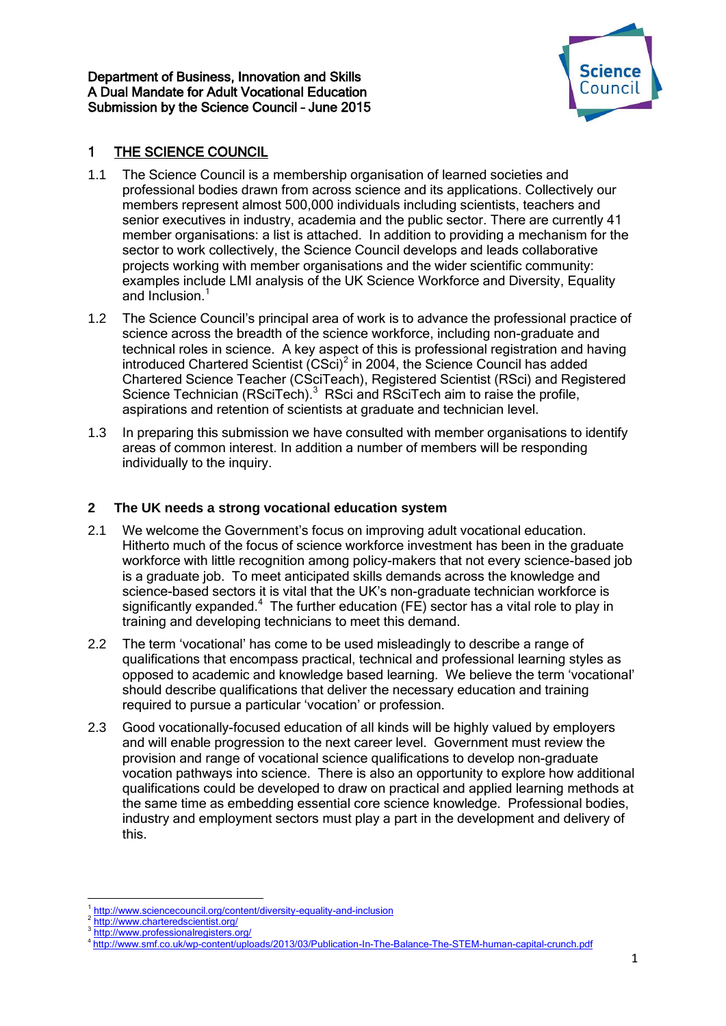

# 1 THE SCIENCE COUNCIL

- 1.1 The Science Council is a membership organisation of learned societies and professional bodies drawn from across science and its applications. Collectively our members represent almost 500,000 individuals including scientists, teachers and senior executives in industry, academia and the public sector. There are currently 41 member organisations: a list is attached. In addition to providing a mechanism for the sector to work collectively, the Science Council develops and leads collaborative projects working with member organisations and the wider scientific community: examples include LMI analysis of the UK Science Workforce and Diversity, Equality and Inclusion.<sup>1</sup>
- 1.2 The Science Council's principal area of work is to advance the professional practice of science across the breadth of the science workforce, including non-graduate and technical roles in science. A key aspect of this is professional registration and having introduced Chartered Scientist  $(CSci)^2$  in 2004, the Science Council has added Chartered Science Teacher (CSciTeach), Registered Scientist (RSci) and Registered Science Technician (RSciTech).<sup>3</sup> RSci and RSciTech aim to raise the profile, aspirations and retention of scientists at graduate and technician level.
- 1.3 In preparing this submission we have consulted with member organisations to identify areas of common interest. In addition a number of members will be responding individually to the inquiry.

## **2 The UK needs a strong vocational education system**

- 2.1 We welcome the Government's focus on improving adult vocational education. Hitherto much of the focus of science workforce investment has been in the graduate workforce with little recognition among policy-makers that not every science-based job is a graduate job. To meet anticipated skills demands across the knowledge and science-based sectors it is vital that the UK's non-graduate technician workforce is significantly expanded.<sup>4</sup> The further education (FE) sector has a vital role to play in training and developing technicians to meet this demand.
- 2.2 The term 'vocational' has come to be used misleadingly to describe a range of qualifications that encompass practical, technical and professional learning styles as opposed to academic and knowledge based learning. We believe the term 'vocational' should describe qualifications that deliver the necessary education and training required to pursue a particular 'vocation' or profession.
- 2.3 Good vocationally-focused education of all kinds will be highly valued by employers and will enable progression to the next career level. Government must review the provision and range of vocational science qualifications to develop non-graduate vocation pathways into science. There is also an opportunity to explore how additional qualifications could be developed to draw on practical and applied learning methods at the same time as embedding essential core science knowledge. Professional bodies, industry and employment sectors must play a part in the development and delivery of this.

**<sup>.</sup>** 1 <http://www.sciencecouncil.org/content/diversity-equality-and-inclusion>

<sup>2</sup> <http://www.charteredscientist.org/>

<sup>3</sup> <http://www.professionalregisters.org/>

<sup>4</sup> <http://www.smf.co.uk/wp-content/uploads/2013/03/Publication-In-The-Balance-The-STEM-human-capital-crunch.pdf>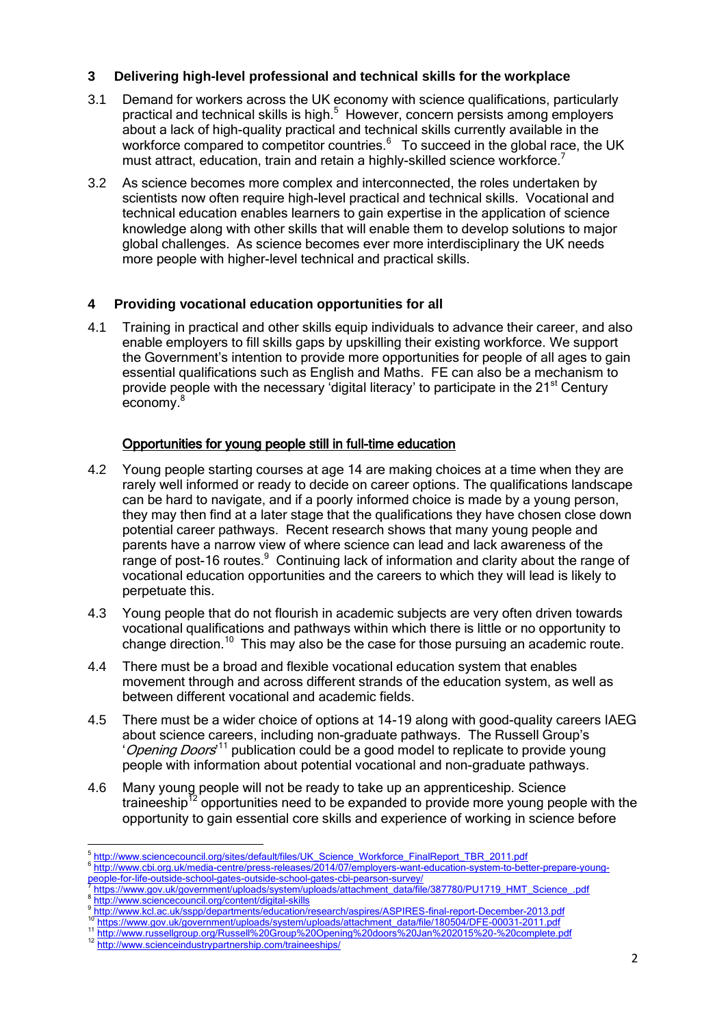### **3 Delivering high-level professional and technical skills for the workplace**

- 3.1 Demand for workers across the UK economy with science qualifications, particularly practical and technical skills is high.<sup>5</sup> However, concern persists among employers about a lack of high-quality practical and technical skills currently available in the workforce compared to competitor countries.<sup>6</sup> To succeed in the global race, the UK must attract, education, train and retain a highly-skilled science workforce.<sup>7</sup>
- 3.2 As science becomes more complex and interconnected, the roles undertaken by scientists now often require high-level practical and technical skills. Vocational and technical education enables learners to gain expertise in the application of science knowledge along with other skills that will enable them to develop solutions to major global challenges. As science becomes ever more interdisciplinary the UK needs more people with higher-level technical and practical skills.

## **4 Providing vocational education opportunities for all**

4.1 Training in practical and other skills equip individuals to advance their career, and also enable employers to fill skills gaps by upskilling their existing workforce. We support the Government's intention to provide more opportunities for people of all ages to gain essential qualifications such as English and Maths. FE can also be a mechanism to provide people with the necessary 'digital literacy' to participate in the 21<sup>st</sup> Century economy.<sup>8</sup>

### Opportunities for young people still in full-time education

- 4.2 Young people starting courses at age 14 are making choices at a time when they are rarely well informed or ready to decide on career options. The qualifications landscape can be hard to navigate, and if a poorly informed choice is made by a young person, they may then find at a later stage that the qualifications they have chosen close down potential career pathways. Recent research shows that many young people and parents have a narrow view of where science can lead and lack awareness of the range of post-16 routes.<sup>9</sup> Continuing lack of information and clarity about the range of vocational education opportunities and the careers to which they will lead is likely to perpetuate this.
- 4.3 Young people that do not flourish in academic subjects are very often driven towards vocational qualifications and pathways within which there is little or no opportunity to change direction.<sup>10</sup> This may also be the case for those pursuing an academic route.
- 4.4 There must be a broad and flexible vocational education system that enables movement through and across different strands of the education system, as well as between different vocational and academic fields.
- 4.5 There must be a wider choice of options at 14-19 along with good-quality careers IAEG about science careers, including non-graduate pathways. The Russell Group's 'Opening Doors<sup>11</sup> publication could be a good model to replicate to provide young people with information about potential vocational and non-graduate pathways.
- 4.6 Many young people will not be ready to take up an apprenticeship. Science traineeship<sup>12</sup> opportunities need to be expanded to provide more young people with the opportunity to gain essential core skills and experience of working in science before

 5 [http://www.sciencecouncil.org/sites/default/files/UK\\_Science\\_Workforce\\_FinalReport\\_TBR\\_2011.pdf](http://www.sciencecouncil.org/sites/default/files/UK_Science_Workforce_FinalReport_TBR_2011.pdf)

<sup>6</sup> [http://www.cbi.org.uk/media-centre/press-releases/2014/07/employers-want-education-system-to-better-prepare-young-](http://www.cbi.org.uk/media-centre/press-releases/2014/07/employers-want-education-system-to-better-prepare-young-people-for-life-outside-school-gates-outside-school-gates-cbi-pearson-survey/)

[people-for-life-outside-school-gates-outside-school-gates-cbi-pearson-survey/](http://www.cbi.org.uk/media-centre/press-releases/2014/07/employers-want-education-system-to-better-prepare-young-people-for-life-outside-school-gates-outside-school-gates-cbi-pearson-survey/)<br><sup>7</sup> [https://www.gov.uk/government/uploads/system/uploads/attachment\\_data/file/387780/PU1719\\_HMT\\_Science\\_.pdf](https://www.gov.uk/government/uploads/system/uploads/attachment_data/file/387780/PU1719_HMT_Science_.pdf) 8 <http://www.sciencecouncil.org/content/digital-skills>

<sup>9</sup> 9<br><http://www.kcl.ac.uk/sspp/departments/education/research/aspires/ASPIRES-final-report-December-2013.pdf>

<sup>10</sup> [https://www.gov.uk/government/uploads/system/uploads/attachment\\_data/file/180504/DFE-00031-2011.pdf](https://www.gov.uk/government/uploads/system/uploads/attachment_data/file/180504/DFE-00031-2011.pdf)

<sup>11</sup> <http://www.russellgroup.org/Russell%20Group%20Opening%20doors%20Jan%202015%20-%20complete.pdf>

<sup>12</sup> <http://www.scienceindustrypartnership.com/traineeships/>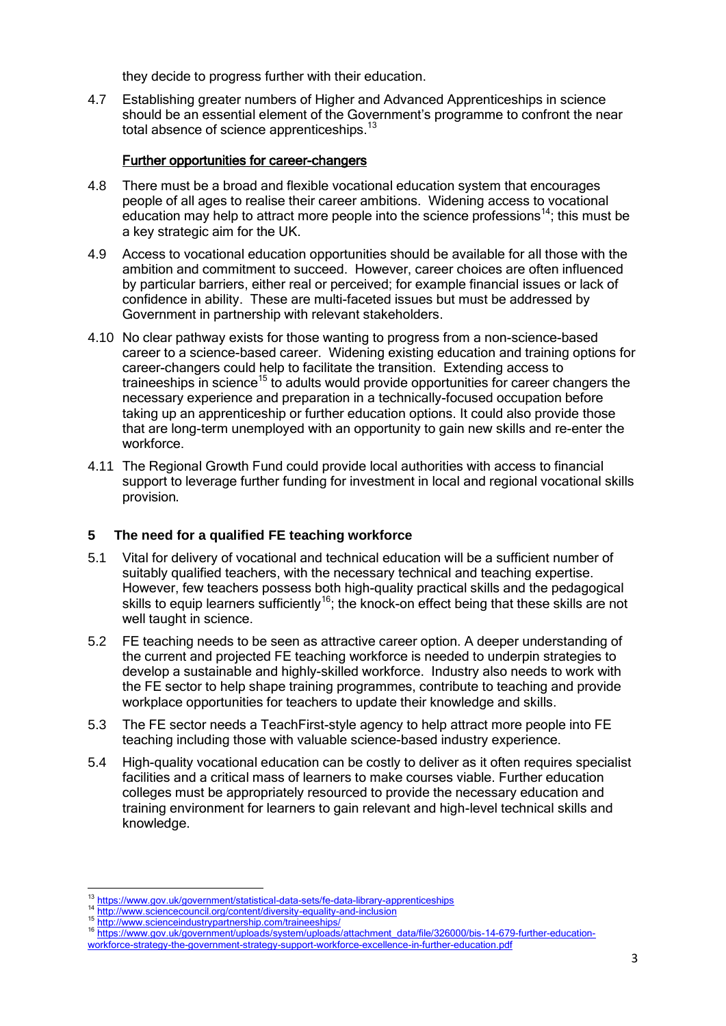they decide to progress further with their education.

4.7 Establishing greater numbers of Higher and Advanced Apprenticeships in science should be an essential element of the Government's programme to confront the near total absence of science apprenticeships. $^{13}$ 

### Further opportunities for career-changers

- 4.8 There must be a broad and flexible vocational education system that encourages people of all ages to realise their career ambitions. Widening access to vocational education may help to attract more people into the science professions<sup>14</sup>; this must be a key strategic aim for the UK.
- 4.9 Access to vocational education opportunities should be available for all those with the ambition and commitment to succeed. However, career choices are often influenced by particular barriers, either real or perceived; for example financial issues or lack of confidence in ability. These are multi-faceted issues but must be addressed by Government in partnership with relevant stakeholders.
- 4.10 No clear pathway exists for those wanting to progress from a non-science-based career to a science-based career. Widening existing education and training options for career-changers could help to facilitate the transition. Extending access to traineeships in science<sup>15</sup> to adults would provide opportunities for career changers the necessary experience and preparation in a technically-focused occupation before taking up an apprenticeship or further education options. It could also provide those that are long-term unemployed with an opportunity to gain new skills and re-enter the workforce.
- 4.11 The Regional Growth Fund could provide local authorities with access to financial support to leverage further funding for investment in local and regional vocational skills provision.

#### **5 The need for a qualified FE teaching workforce**

- 5.1 Vital for delivery of vocational and technical education will be a sufficient number of suitably qualified teachers, with the necessary technical and teaching expertise. However, few teachers possess both high-quality practical skills and the pedagogical skills to equip learners sufficiently<sup>16</sup>; the knock-on effect being that these skills are not well taught in science.
- 5.2 FE teaching needs to be seen as attractive career option. A deeper understanding of the current and projected FE teaching workforce is needed to underpin strategies to develop a sustainable and highly-skilled workforce. Industry also needs to work with the FE sector to help shape training programmes, contribute to teaching and provide workplace opportunities for teachers to update their knowledge and skills.
- 5.3 The FE sector needs a TeachFirst-style agency to help attract more people into FE teaching including those with valuable science-based industry experience.
- 5.4 High-quality vocational education can be costly to deliver as it often requires specialist facilities and a critical mass of learners to make courses viable. Further education colleges must be appropriately resourced to provide the necessary education and training environment for learners to gain relevant and high-level technical skills and knowledge.

1

<sup>&</sup>lt;sup>13</sup> <https://www.gov.uk/government/statistical-data-sets/fe-data-library-apprenticeships>

<sup>14</sup> <http://www.sciencecouncil.org/content/diversity-equality-and-inclusion>

<sup>15</sup> <http://www.scienceindustrypartnership.com/traineeships/>

<sup>16</sup> [https://www.gov.uk/government/uploads/system/uploads/attachment\\_data/file/326000/bis-14-679-further-education-](https://www.gov.uk/government/uploads/system/uploads/attachment_data/file/326000/bis-14-679-further-education-workforce-strategy-the-government-strategy-support-workforce-excellence-in-further-education.pdf)

[workforce-strategy-the-government-strategy-support-workforce-excellence-in-further-education.pdf](https://www.gov.uk/government/uploads/system/uploads/attachment_data/file/326000/bis-14-679-further-education-workforce-strategy-the-government-strategy-support-workforce-excellence-in-further-education.pdf)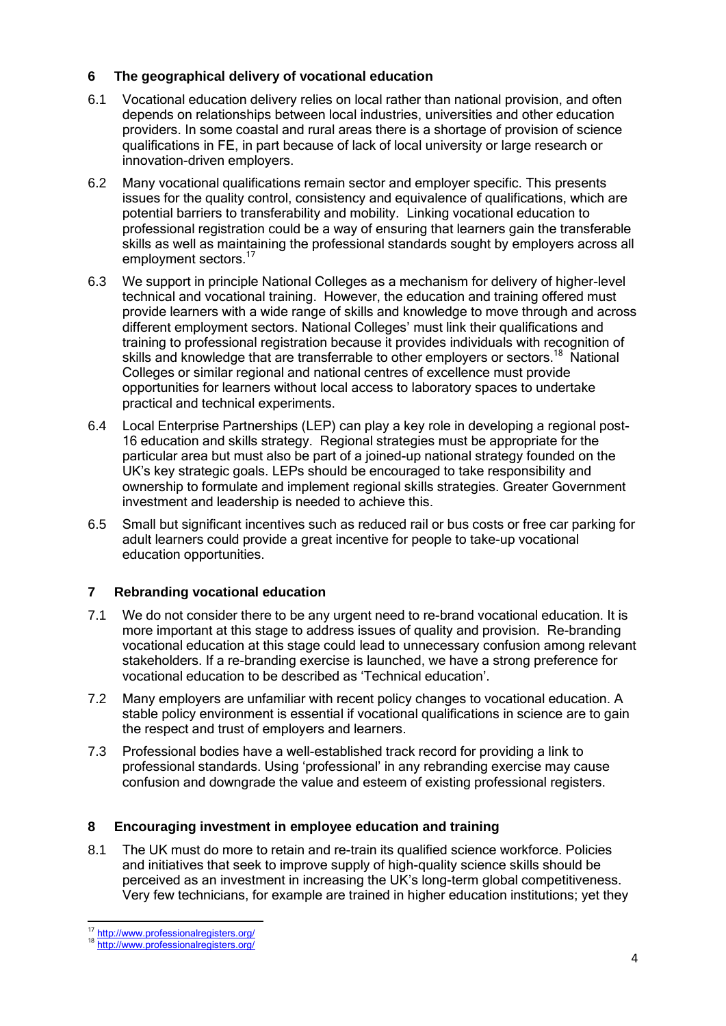## **6 The geographical delivery of vocational education**

- 6.1 Vocational education delivery relies on local rather than national provision, and often depends on relationships between local industries, universities and other education providers. In some coastal and rural areas there is a shortage of provision of science qualifications in FE, in part because of lack of local university or large research or innovation-driven employers.
- 6.2 Many vocational qualifications remain sector and employer specific. This presents issues for the quality control, consistency and equivalence of qualifications, which are potential barriers to transferability and mobility. Linking vocational education to professional registration could be a way of ensuring that learners gain the transferable skills as well as maintaining the professional standards sought by employers across all employment sectors.<sup>17</sup>
- 6.3 We support in principle National Colleges as a mechanism for delivery of higher-level technical and vocational training. However, the education and training offered must provide learners with a wide range of skills and knowledge to move through and across different employment sectors. National Colleges' must link their qualifications and training to professional registration because it provides individuals with recognition of skills and knowledge that are transferrable to other employers or sectors.<sup>18</sup> National Colleges or similar regional and national centres of excellence must provide opportunities for learners without local access to laboratory spaces to undertake practical and technical experiments.
- 6.4 Local Enterprise Partnerships (LEP) can play a key role in developing a regional post-16 education and skills strategy. Regional strategies must be appropriate for the particular area but must also be part of a joined-up national strategy founded on the UK's key strategic goals. LEPs should be encouraged to take responsibility and ownership to formulate and implement regional skills strategies. Greater Government investment and leadership is needed to achieve this.
- 6.5 Small but significant incentives such as reduced rail or bus costs or free car parking for adult learners could provide a great incentive for people to take-up vocational education opportunities.

## **7 Rebranding vocational education**

- 7.1 We do not consider there to be any urgent need to re-brand vocational education. It is more important at this stage to address issues of quality and provision. Re-branding vocational education at this stage could lead to unnecessary confusion among relevant stakeholders. If a re-branding exercise is launched, we have a strong preference for vocational education to be described as 'Technical education'.
- 7.2 Many employers are unfamiliar with recent policy changes to vocational education. A stable policy environment is essential if vocational qualifications in science are to gain the respect and trust of employers and learners.
- 7.3 Professional bodies have a well-established track record for providing a link to professional standards. Using 'professional' in any rebranding exercise may cause confusion and downgrade the value and esteem of existing professional registers.

#### **8 Encouraging investment in employee education and training**

8.1 The UK must do more to retain and re-train its qualified science workforce. Policies and initiatives that seek to improve supply of high-quality science skills should be perceived as an investment in increasing the UK's long-term global competitiveness. Very few technicians, for example are trained in higher education institutions; yet they

**<sup>.</sup>** <sup>17</sup> <http://www.professionalregisters.org/>

<sup>18</sup> <http://www.professionalregisters.org/>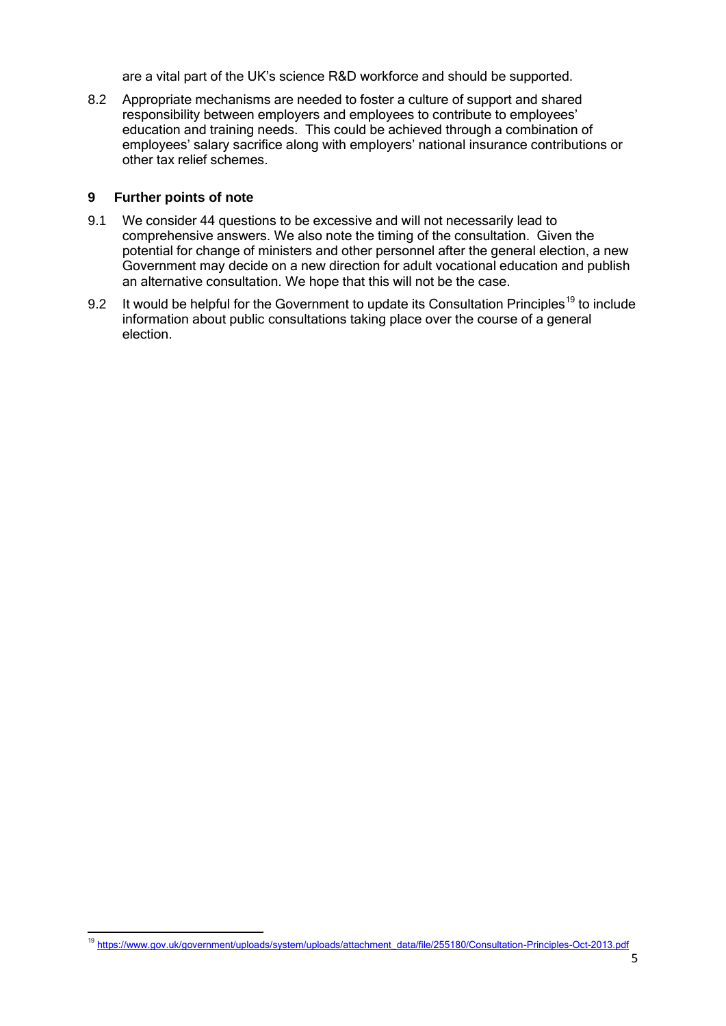are a vital part of the UK's science R&D workforce and should be supported.

8.2 Appropriate mechanisms are needed to foster a culture of support and shared responsibility between employers and employees to contribute to employees' education and training needs. This could be achieved through a combination of employees' salary sacrifice along with employers' national insurance contributions or other tax relief schemes.

### **9 Further points of note**

**.** 

- 9.1 We consider 44 questions to be excessive and will not necessarily lead to comprehensive answers. We also note the timing of the consultation. Given the potential for change of ministers and other personnel after the general election, a new Government may decide on a new direction for adult vocational education and publish an alternative consultation. We hope that this will not be the case.
- 9.2 It would be helpful for the Government to update its Consultation Principles<sup>19</sup> to include information about public consultations taking place over the course of a general election.

<sup>19</sup> [https://www.gov.uk/government/uploads/system/uploads/attachment\\_data/file/255180/Consultation-Principles-Oct-2013.pdf](https://www.gov.uk/government/uploads/system/uploads/attachment_data/file/255180/Consultation-Principles-Oct-2013.pdf)